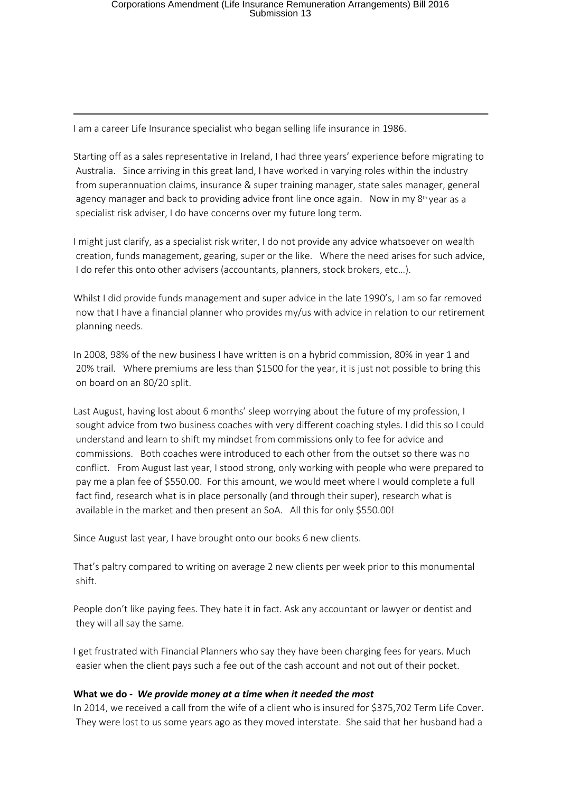I am a career Life Insurance specialist who began selling life insurance in 1986.

Starting off as a sales representative in Ireland, I had three years' experience before migrating to Australia. Since arriving in this great land, I have worked in varying roles within the industry from superannuation claims, insurance & super training manager, state sales manager, general agency manager and back to providing advice front line once again. Now in my  $8<sup>th</sup>$  year as a specialist risk adviser, I do have concerns over my future long term.

I might just clarify, as a specialist risk writer, I do not provide any advice whatsoever on wealth creation, funds management, gearing, super or the like. Where the need arises for such advice, I do refer this onto other advisers (accountants, planners, stock brokers, etc…).

Whilst I did provide funds management and super advice in the late 1990's, I am so far removed now that I have a financial planner who provides my/us with advice in relation to our retirement planning needs.

In 2008, 98% of the new business I have written is on a hybrid commission, 80% in year 1 and 20% trail. Where premiums are less than \$1500 for the year, it is just not possible to bring this on board on an 80/20 split.

Last August, having lost about 6 months' sleep worrying about the future of my profession, I sought advice from two business coaches with very different coaching styles. I did this so I could understand and learn to shift my mindset from commissions only to fee for advice and commissions. Both coaches were introduced to each other from the outset so there was no conflict. From August last year, I stood strong, only working with people who were prepared to pay me a plan fee of \$550.00. For this amount, we would meet where I would complete a full fact find, research what is in place personally (and through their super), research what is available in the market and then present an SoA. All this for only \$550.00!

Since August last year, I have brought onto our books 6 new clients.

That's paltry compared to writing on average 2 new clients per week prior to this monumental shift.

People don't like paying fees. They hate it in fact. Ask any accountant or lawyer or dentist and they will all say the same.

I get frustrated with Financial Planners who say they have been charging fees for years. Much easier when the client pays such a fee out of the cash account and not out of their pocket.

### **What we do -** *We provide money at a time when it needed the most*

In 2014, we received a call from the wife of a client who is insured for \$375,702 Term Life Cover. They were lost to us some years ago as they moved interstate. She said that her husband had a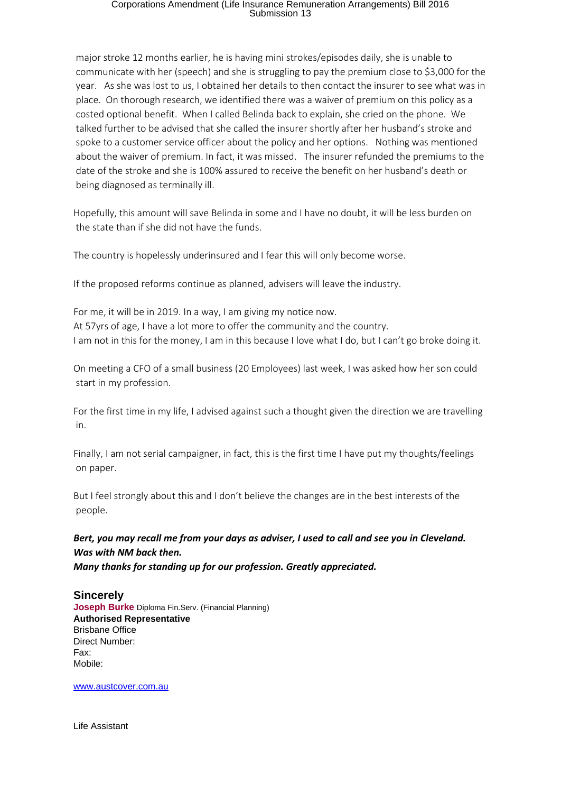# Corporations Amendment (Life Insurance Remuneration Arrangements) Bill 2016 Submission 13

 major stroke 12 months earlier, he is having mini strokes/episodes daily, she is unable to communicate with her (speech) and she is struggling to pay the premium close to \$3,000 for the year. As she was lost to us, I obtained her details to then contact the insurer to see what was in place. On thorough research, we identified there was a waiver of premium on this policy as a costed optional benefit. When I called Belinda back to explain, she cried on the phone. We talked further to be advised that she called the insurer shortly after her husband's stroke and spoke to a customer service officer about the policy and her options. Nothing was mentioned about the waiver of premium. In fact, it was missed. The insurer refunded the premiums to the date of the stroke and she is 100% assured to receive the benefit on her husband's death or being diagnosed as terminally ill.

Hopefully, this amount will save Belinda in some and I have no doubt, it will be less burden on the state than if she did not have the funds.

The country is hopelessly underinsured and I fear this will only become worse.

If the proposed reforms continue as planned, advisers will leave the industry.

For me, it will be in 2019. In a way, I am giving my notice now. At 57yrs of age, I have a lot more to offer the community and the country. I am not in this for the money, I am in this because I love what I do, but I can't go broke doing it.

On meeting a CFO of a small business (20 Employees) last week, I was asked how her son could start in my profession.

For the first time in my life, I advised against such a thought given the direction we are travelling in.

Finally, I am not serial campaigner, in fact, this is the first time I have put my thoughts/feelings on paper.

But I feel strongly about this and I don't believe the changes are in the best interests of the people.

## *Bert, you may recall me from your days as adviser, I used to call and see you in Cleveland. Was with NM back then.*

*Many thanks for standing up for our profession. Greatly appreciated.* 

**Sincerely Joseph Burke** Diploma Fin.Serv. (Financial Planning) **Authorised Representative** Brisbane Office Direct Number: Fax: Mobile:

[www.austcover.com.au](file:////c/www.austcover.com.au)

Life Assistant